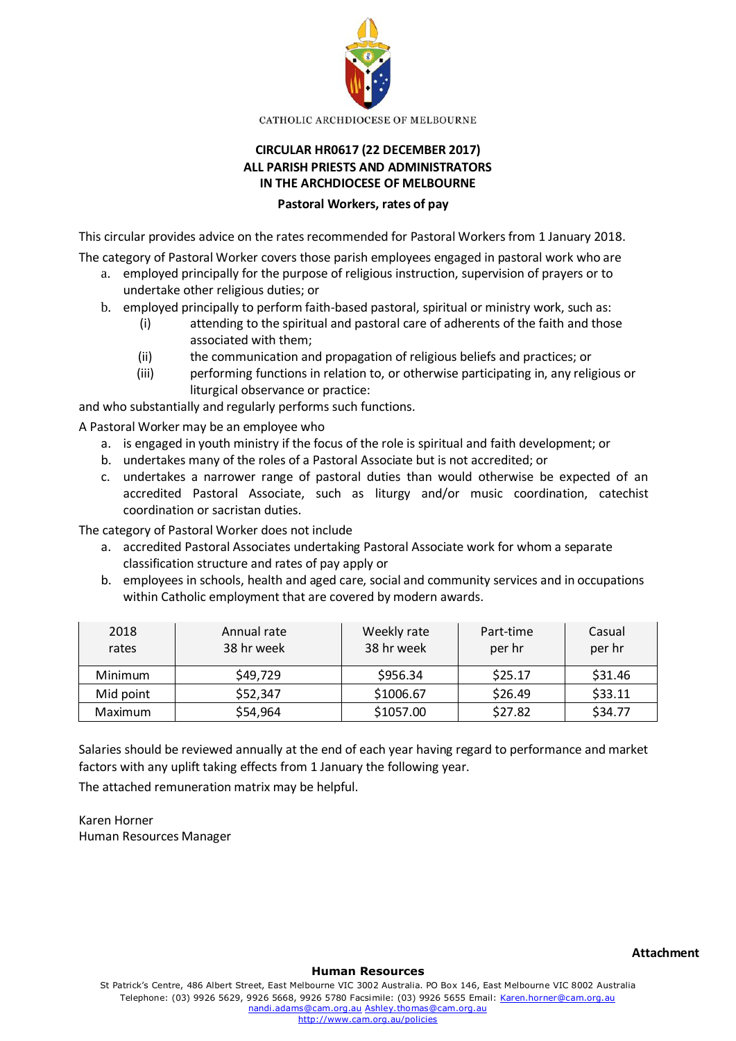

CATHOLIC ARCHDIOCESE OF MELBOURNE

## **CIRCULAR HR0617 (22 DECEMBER 2017) ALL PARISH PRIESTS AND ADMINISTRATORS IN THE ARCHDIOCESE OF MELBOURNE**

## **Pastoral Workers, rates of pay**

This circular provides advice on the rates recommended for Pastoral Workers from 1 January 2018.

The category of Pastoral Worker covers those parish employees engaged in pastoral work who are

- a. employed principally for the purpose of religious instruction, supervision of prayers or to undertake other religious duties; or
- b. employed principally to perform faith-based pastoral, spiritual or ministry work, such as:
	- (i) attending to the spiritual and pastoral care of adherents of the faith and those associated with them;
	- (ii) the communication and propagation of religious beliefs and practices; or
	- (iii) performing functions in relation to, or otherwise participating in, any religious or liturgical observance or practice:

and who substantially and regularly performs such functions.

A Pastoral Worker may be an employee who

- a. is engaged in youth ministry if the focus of the role is spiritual and faith development; or
- b. undertakes many of the roles of a Pastoral Associate but is not accredited; or
- c. undertakes a narrower range of pastoral duties than would otherwise be expected of an accredited Pastoral Associate, such as liturgy and/or music coordination, catechist coordination or sacristan duties.

The category of Pastoral Worker does not include

- a. accredited Pastoral Associates undertaking Pastoral Associate work for whom a separate classification structure and rates of pay apply or
- b. employees in schools, health and aged care, social and community services and in occupations within Catholic employment that are covered by modern awards.

| 2018<br>rates | Annual rate<br>38 hr week | Weekly rate<br>38 hr week | Part-time<br>per hr | Casual<br>per hr |
|---------------|---------------------------|---------------------------|---------------------|------------------|
| Minimum       | \$49,729                  | \$956.34                  | \$25.17             | \$31.46          |
| Mid point     | \$52,347                  | \$1006.67                 | \$26.49             | \$33.11          |
| Maximum       | \$54,964                  | \$1057.00                 | \$27.82             | \$34.77          |

Salaries should be reviewed annually at the end of each year having regard to performance and market factors with any uplift taking effects from 1 January the following year.

The attached remuneration matrix may be helpful.

Karen Horner Human Resources Manager

**Human Resources**

St Patrick's Centre, 486 Albert Street, East Melbourne VIC 3002 Australia. PO Box 146, East Melbourne VIC 8002 Australia Telephone: (03) 9926 5629, 9926 5668, 9926 5780 Facsimile: (03) 9926 5655 Email[: Karen.horner@cam.org.au](mailto:Karen.horner@cam.org.au) [nandi.adams@cam.org.au](mailto:nandi.adams@cam.org.au) [Ashley.thomas@cam.org.au](mailto:Ashley.thomas@cam.org.au) <http://www.cam.org.au/policies>